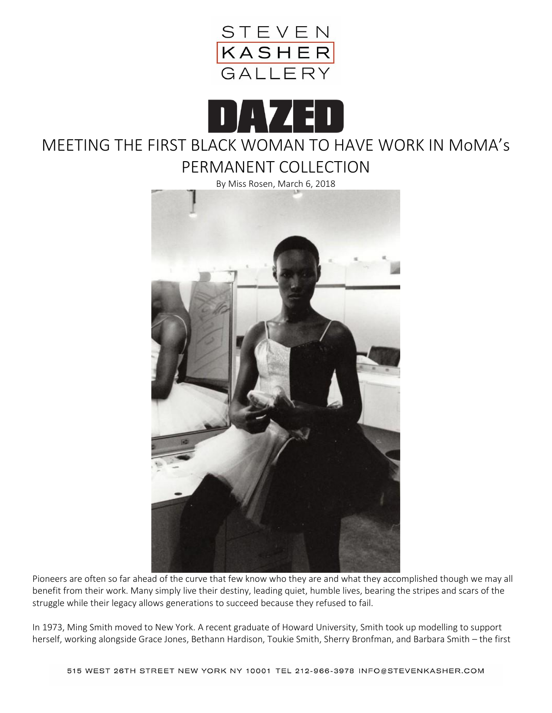



# MEETING THE FIRST BLACK WOMAN TO HAVE WORK IN MoMA's

PERMANENT COLLECTION



Pioneers are often so far ahead of the curve that few know who they are and what they accomplished though we may all benefit from their work. Many simply live their destiny, leading quiet, humble lives, bearing the stripes and scars of the struggle while their legacy allows generations to succeed because they refused to fail.

In 1973, Ming Smith moved to New York. A recent graduate of Howard University, Smith took up modelling to support herself, working alongside Grace Jones, Bethann Hardison, Toukie Smith, Sherry Bronfman, and Barbara Smith – the first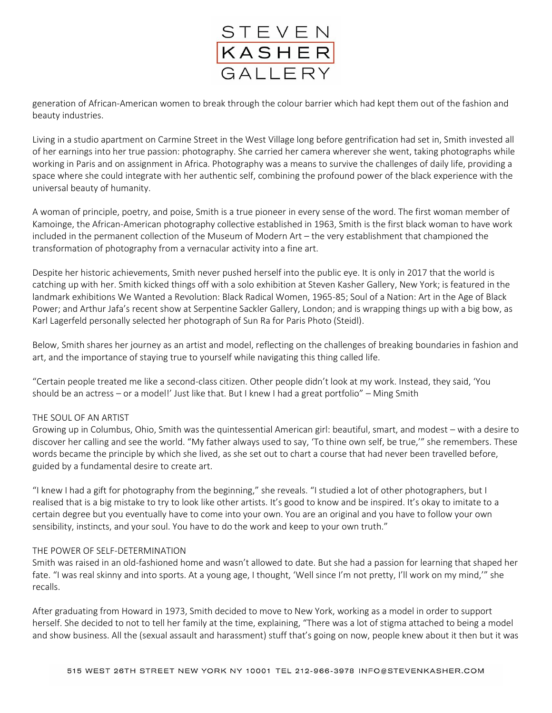

generation of African-American women to break through the colour barrier which had kept them out of the fashion and beauty industries.

Living in a studio apartment on Carmine Street in the West Village long before gentrification had set in, Smith invested all of her earnings into her true passion: photography. She carried her camera wherever she went, taking photographs while working in Paris and on assignment in Africa. Photography was a means to survive the challenges of daily life, providing a space where she could integrate with her authentic self, combining the profound power of the black experience with the universal beauty of humanity.

A woman of principle, poetry, and poise, Smith is a true pioneer in every sense of the word. The first woman member of Kamoinge, the African-American photography collective established in 1963, Smith is the first black woman to have work included in the permanent collection of the Museum of Modern Art – the very establishment that championed the transformation of photography from a vernacular activity into a fine art.

Despite her historic achievements, Smith never pushed herself into the public eye. It is only in 2017 that the world is catching up with her. Smith kicked things off with a solo exhibition at Steven Kasher Gallery, New York; is featured in the landmark exhibitions We Wanted a Revolution: Black Radical Women, 1965-85; Soul of a Nation: Art in the Age of Black Power; and Arthur Jafa's recent show at Serpentine Sackler Gallery, London; and is wrapping things up with a big bow, as Karl Lagerfeld personally selected her photograph of Sun Ra for Paris Photo (Steidl).

Below, Smith shares her journey as an artist and model, reflecting on the challenges of breaking boundaries in fashion and art, and the importance of staying true to yourself while navigating this thing called life.

"Certain people treated me like a second-class citizen. Other people didn't look at my work. Instead, they said, 'You should be an actress – or a model!' Just like that. But I knew I had a great portfolio" – Ming Smith

# THE SOUL OF AN ARTIST

Growing up in Columbus, Ohio, Smith was the quintessential American girl: beautiful, smart, and modest – with a desire to discover her calling and see the world. "My father always used to say, 'To thine own self, be true,'" she remembers. These words became the principle by which she lived, as she set out to chart a course that had never been travelled before, guided by a fundamental desire to create art.

"I knew I had a gift for photography from the beginning," she reveals. "I studied a lot of other photographers, but I realised that is a big mistake to try to look like other artists. It's good to know and be inspired. It's okay to imitate to a certain degree but you eventually have to come into your own. You are an original and you have to follow your own sensibility, instincts, and your soul. You have to do the work and keep to your own truth."

# THE POWER OF SELF-DETERMINATION

Smith was raised in an old-fashioned home and wasn't allowed to date. But she had a passion for learning that shaped her fate. "I was real skinny and into sports. At a young age, I thought, 'Well since I'm not pretty, I'll work on my mind,'" she recalls.

After graduating from Howard in 1973, Smith decided to move to New York, working as a model in order to support herself. She decided to not to tell her family at the time, explaining, "There was a lot of stigma attached to being a model and show business. All the (sexual assault and harassment) stuff that's going on now, people knew about it then but it was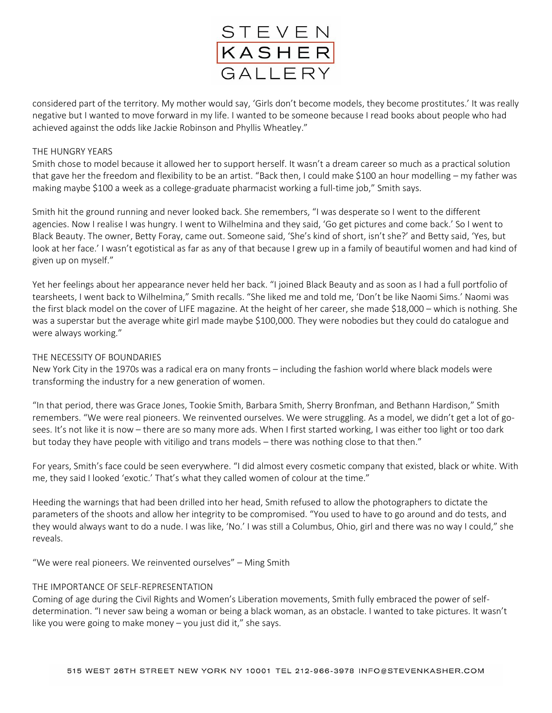

considered part of the territory. My mother would say, 'Girls don't become models, they become prostitutes.' It was really negative but I wanted to move forward in my life. I wanted to be someone because I read books about people who had achieved against the odds like Jackie Robinson and Phyllis Wheatley."

## THE HUNGRY YEARS

Smith chose to model because it allowed her to support herself. It wasn't a dream career so much as a practical solution that gave her the freedom and flexibility to be an artist. "Back then, I could make \$100 an hour modelling – my father was making maybe \$100 a week as a college-graduate pharmacist working a full-time job," Smith says.

Smith hit the ground running and never looked back. She remembers, "I was desperate so I went to the different agencies. Now I realise I was hungry. I went to Wilhelmina and they said, 'Go get pictures and come back.' So I went to Black Beauty. The owner, Betty Foray, came out. Someone said, 'She's kind of short, isn't she?' and Betty said, 'Yes, but look at her face.' I wasn't egotistical as far as any of that because I grew up in a family of beautiful women and had kind of given up on myself."

Yet her feelings about her appearance never held her back. "I joined Black Beauty and as soon as I had a full portfolio of tearsheets, I went back to Wilhelmina," Smith recalls. "She liked me and told me, 'Don't be like Naomi Sims.' Naomi was the first black model on the cover of LIFE magazine. At the height of her career, she made \$18,000 – which is nothing. She was a superstar but the average white girl made maybe \$100,000. They were nobodies but they could do catalogue and were always working."

## THE NECESSITY OF BOUNDARIES

New York City in the 1970s was a radical era on many fronts – including the fashion world where black models were transforming the industry for a new generation of women.

"In that period, there was Grace Jones, Tookie Smith, Barbara Smith, Sherry Bronfman, and Bethann Hardison," Smith remembers. "We were real pioneers. We reinvented ourselves. We were struggling. As a model, we didn't get a lot of gosees. It's not like it is now – there are so many more ads. When I first started working, I was either too light or too dark but today they have people with vitiligo and trans models – there was nothing close to that then."

For years, Smith's face could be seen everywhere. "I did almost every cosmetic company that existed, black or white. With me, they said I looked 'exotic.' That's what they called women of colour at the time."

Heeding the warnings that had been drilled into her head, Smith refused to allow the photographers to dictate the parameters of the shoots and allow her integrity to be compromised. "You used to have to go around and do tests, and they would always want to do a nude. I was like, 'No.' I was still a Columbus, Ohio, girl and there was no way I could," she reveals.

"We were real pioneers. We reinvented ourselves" – Ming Smith

#### THE IMPORTANCE OF SELF-REPRESENTATION

Coming of age during the Civil Rights and Women's Liberation movements, Smith fully embraced the power of selfdetermination. "I never saw being a woman or being a black woman, as an obstacle. I wanted to take pictures. It wasn't like you were going to make money – you just did it," she says.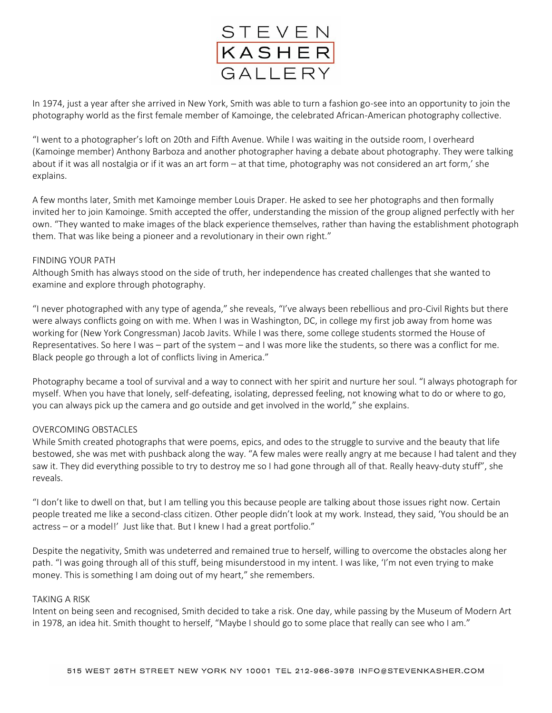

In 1974, just a year after she arrived in New York, Smith was able to turn a fashion go-see into an opportunity to join the photography world as the first female member of Kamoinge, the celebrated African-American photography collective.

"I went to a photographer's loft on 20th and Fifth Avenue. While I was waiting in the outside room, I overheard (Kamoinge member) Anthony Barboza and another photographer having a debate about photography. They were talking about if it was all nostalgia or if it was an art form – at that time, photography was not considered an art form,' she explains.

A few months later, Smith met Kamoinge member Louis Draper. He asked to see her photographs and then formally invited her to join Kamoinge. Smith accepted the offer, understanding the mission of the group aligned perfectly with her own. "They wanted to make images of the black experience themselves, rather than having the establishment photograph them. That was like being a pioneer and a revolutionary in their own right."

#### FINDING YOUR PATH

Although Smith has always stood on the side of truth, her independence has created challenges that she wanted to examine and explore through photography.

"I never photographed with any type of agenda," she reveals, "I've always been rebellious and pro-Civil Rights but there were always conflicts going on with me. When I was in Washington, DC, in college my first job away from home was working for (New York Congressman) Jacob Javits. While I was there, some college students stormed the House of Representatives. So here I was – part of the system – and I was more like the students, so there was a conflict for me. Black people go through a lot of conflicts living in America."

Photography became a tool of survival and a way to connect with her spirit and nurture her soul. "I always photograph for myself. When you have that lonely, self-defeating, isolating, depressed feeling, not knowing what to do or where to go, you can always pick up the camera and go outside and get involved in the world," she explains.

# OVERCOMING OBSTACLES

While Smith created photographs that were poems, epics, and odes to the struggle to survive and the beauty that life bestowed, she was met with pushback along the way. "A few males were really angry at me because I had talent and they saw it. They did everything possible to try to destroy me so I had gone through all of that. Really heavy-duty stuff", she reveals.

"I don't like to dwell on that, but I am telling you this because people are talking about those issues right now. Certain people treated me like a second-class citizen. Other people didn't look at my work. Instead, they said, 'You should be an actress – or a model!' Just like that. But I knew I had a great portfolio."

Despite the negativity, Smith was undeterred and remained true to herself, willing to overcome the obstacles along her path. "I was going through all of this stuff, being misunderstood in my intent. I was like, 'I'm not even trying to make money. This is something I am doing out of my heart," she remembers.

#### TAKING A RISK

Intent on being seen and recognised, Smith decided to take a risk. One day, while passing by the Museum of Modern Art in 1978, an idea hit. Smith thought to herself, "Maybe I should go to some place that really can see who I am."